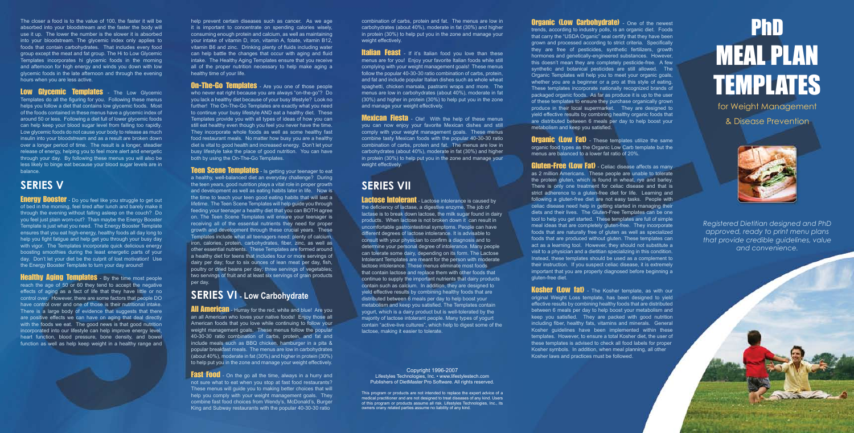# PhD MEAL PLAN TEMPLATES

for Weight Management & Disease Prevention



*Registered Dietitian designed and PhD approved, ready to print menu plans that provide credible guidelines, value and convenience.*

combination of carbs, protein and fat. The menus are low in carbohydrates (about 40%), moderate in fat (30%) and higher in protein (30%) to help put you in the zone and manage your weight effectively.

**Italian Feast** - If it's Italian food you love than these menus are for you! Enjoy your favorite Italian foods while still complying with your weight management goals! These menus follow the popular 40-30-30 ratio combination of carbs, protein, and fat and include popular Italian dishes such as whole wheat spaghetti, chicken marsala, pastrami wraps and more. The menus are low in carbohydrates (about 40%), moderate in fat (30%) and higher in protein (30%) to help put you in the zone and manage your weight effectively.

**Mexican Fiesta** - Ole! With the help of these menus you can now enjoy your favorite Mexican dishes and still comply with your weight management goals. These menus combine tasty Mexican foods with the popular 40-30-30 ratio combination of carbs, protein and fat. The menus are low in carbohydrates (about 40%), moderate in fat (30%) and higher in protein (30%) to help put you in the zone and manage your weight effectively.

**Lactose Intolerant** - Lactose intolerance is caused by the deficiency of lactase, a digestive enzyme. The job of lactase is to break down lactose, the milk sugar found in dairy products. When lactose is not broken down it can result in uncomfortable gastrointestinal symptoms. People can have different degrees of lactose intolerance. It is advisable to consult with your physician to confirm a diagnosis and to determine your personal degree of intolerance. Many people can tolerate some dairy, depending on its form. The Lactose Intolerant Templates are meant for the person with moderate lactose intolerance. These menus eliminate most foods that contain lactose and replace them with other foods that continue to supply the important nutrients that dairy products contain such as calcium. In addition, they are designed to yield effective results by combining healthy foods that are distributed between 6 meals per day to help boost your metabolism and keep you satisfied. The Templates contain yogurt, which is a dairy product but is well-tolerated by the majority of lactose intolerant people. Many types of yogurt contain "active-live cultures", which help to digest some of the lactose, making it easier to tolerate.

## **SERIES VII**

**Organic (Low Carbohydrate)** - One of the newest trends, according to industry polls, is an organic diet. Foods that carry the "USDA Organic" seal certify that they have been grown and processed according to strict criteria. Specifically they are free of pesticides, synthetic fertilizers, growth hormones and genetically-engineered substances. However, this doesn't mean they are completely pesticide-free. A few synthetic and botanical pesticides are still allowed. The Organic Templates will help you to meet your organic goals, whether you are a beginner or a pro at this style of eating. These templates incorporate nationally recognized brands of packaged organic foods. As far as produce it is up to the user of these templates to ensure they purchase organically grown produce in their local supermarket. They are designed to yield effective results by combining healthy organic foods that are distributed between 6 meals per day to help boost your metabolism and keep you satisfied.

**Organic (LOW Fat)** - These templates utilize the same organic food types as the Organic Low Carb template but the menus are balanced to a lower fat ratio of 20%.

**Gluten-Free (Low Fat)** - Celiac disease affects as many as 2 million Americans. These people are unable to tolerate the protein gluten, which is found in wheat, rye and barley. There is only one treatment for celiac disease and that is strict adherence to a gluten-free diet for life. Learning and following a gluten-free diet are not easy tasks. People with celiac disease need help in getting started in managing their diets and their lives. The Gluten-Free Templates can be one tool to help you get started. These templates are full of simple meal ideas that are completely gluten-free. They incorporate foods that are naturally free of gluten as well as specialized foods that are produced without gluten. These templates can act as a learning tool. However, they should not substitute a visit to a physician and a dietitian specializing in this condition. Instead, these templates should be used as a complement to their instruction. If you suspect celiac disease, it is extremely important that you are properly diagnosed before beginning a gluten-free diet.

### Copyright 1996-2007 Lifestyles Technologies, Inc. • www.lifestylestech.com Publishers of DietMaster Pro Software. All rights reserved.

This program or products are not intended to replace the expert advice of a medical practitioner and are not designed to treat diseases of any kind. Users of this program or products assume all risk. Lifestyles Technologies, Inc., its owners orany related parties assume no liability of any kind.

**Kosher (Low fat)** - The Kosher template, as with our original Weight Loss template, has been designed to yield effective results by combining healthy foods that are distributed between 6 meals per day to help boost your metabolism and keep you satisfied. They are packed with good nutrition including fiber, healthy fats, vitamins and minerals. General Kosher guidelines have been implemented within these templates. However, to ensure a total Kosher diet, the user of these templates is advised to check all food labels for proper Kosher symbols. In addition, when meal planning, all other Kosher laws and practices must be followed.

**On-The-Go Templates** - Are you one of those people who never eat right because you are always "on-the-go"? Do you lack a healthy diet because of your busy lifestyle? Look no further! The On-The-Go Templates are exactly what you need to continue your busy lifestyle AND eat a healthy diet. These Templates provide you with all types of ideas of how you can still eat healthy even though you feel you never have the time. They incorporate whole foods as well as some healthy fast food restaurant meals. No matter how busy you are a healthy diet is vital to good health and increased energy. Don't let your busy lifestyle take the place of good nutrition. You can have both by using the On-The-Go Templates.

**Teen Scene Templates** - Is getting your teenager to eat a healthy, well-balanced diet an everyday challenge? During the teen years, good nutrition plays a vital role in proper growth and development as well as eating habits later in life. Now is the time to teach your teen good eating habits that will last a lifetime. The Teen Scene Templates will help guide you through feeding your teenager a healthy diet that you can BOTH agree on. The Teen Scene Templates will ensure your teenager is receiving all of the essential nutrients they need for proper growth and development through these crucial years. These Templates include what all teenagers need: plenty of calcium, iron, calories, protein, carbohydrates, fiber, zinc, as well as other essential nutrients. These Templates are formed around a healthy diet for teens that includes four or more servings of dairy per day; four to six ounces of lean meat per day, fish, poultry or dried beans per day; three servings of vegetables; two servings of fruit and at least six servings of grain products per day.

**All American** - Hurray for the red, white and blue! Are you an all American who loves your native foods! Enjoy those all American foods that you love while continuing to follow your weight management goals. These menus follow the popular 40-30-30 ratio combination of carbs, protein, and fat and include meals such as BBQ chicken, hamburger in a pita & popular breakfast meals. The menus are low in carbohydrates (about 40%), moderate in fat (30%) and higher in protein (30%) to help put you in the zone and manage your weight effectively.

**Fast Food** - On the go all the time, always in a hurry and not sure what to eat when you stop at fast food restaurants? These menus will guide you to making better choices that will help you comply with your weight management goals. They combine fast food choices from Wendy's, McDonald's, Burger King and Subway restaurants with the popular 40-30-30 ratio

Low Givcemic Templates - The Low Givcemic Templates do all the figuring for you. Following these menus helps you follow a diet that contains low glycemic foods. Most of the foods contained in these menus have a glycemic index of around 50 or less. Following a diet full of lower glycemic foods can help keep your blood sugar level from falling too rapidly. Low glycemic foods do not cause your body to release as much insulin into your bloodstream and as a result are broken down over a longer period of time. The result is a longer, steadier release of energy, helping you to feel more alert and energetic through your day. By following these menus you will also be less likely to binge eat because your blood sugar levels are in balance.

**Energy Booster** - Do you feel like you struggle to get out of bed in the morning, feel tired after lunch and barely make it through the evening without falling asleep on the couch? Do you feel just plain worn-out? Than maybe the Energy Booster Template is just what you need. The Energy Booster Template ensures that you eat high-energy, healthy foods all day long to help you fight fatigue and help get you through your busy day with vigor. The Templates incorporate quick delicious energy boosting smoothies during the least energetic parts of your day. Don't let your diet be the culprit of lost motivation! Use the Energy Booster Template to turn your day around!

**Healthy Aging Templates** - By the time most people reach the age of 50 or 60 they tend to accept the negative effects of aging as a fact of life that they have little or no control over. However, there are some factors that people DO have control over and one of those is their nutritional intake. There is a large body of evidence that suggests that there are positive effects we can have on aging that deal directly with the foods we eat. The good news is that good nutrition incorporated into our lifestyle can help improve energy level, heart function, blood pressure, bone density, and bowel function as well as help keep weight in a healthy range and help prevent certain diseases such as cancer. As we age it is important to concentrate on spending calories wisely, consuming enough protein and calcium, as well as maintaining your intake of vitamin D, iron, vitamin A, folate, vitamin B12, vitamin B6 and zinc. Drinking plenty of fluids including water can help battle the changes that occur with aging and fluid intake. The Healthy Aging Templates ensure that you receive all of the proper nutrition necessary to help make aging a healthy time of your life.

### **SERIES VI - Low Carbohydrate**

The closer a food is to the value of 100, the faster it will be absorbed into your bloodstream and the faster the body will use it up. The lower the number is the slower it is absorbed into your bloodstream. The glycemic index only applies to foods that contain carbohydrates. That includes every food group except the meat and fat group. The Hi to Low Glycemic Templates incorporates hi glycemic foods in the morning and afternoon for high energy and winds you down with low glycemic foods in the late afternoon and through the evening hours when you are less active.

### **SERIES V**